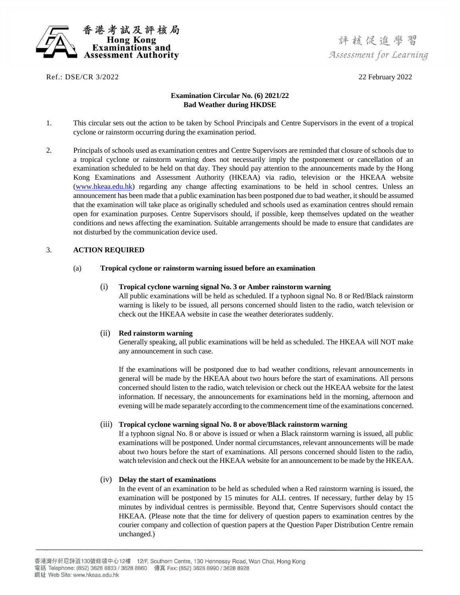

Ref.: DSE/CR 3/2022 22 February 2022

# **Examination Circular No. (6) 2021/22 Bad Weather during HKDSE**

- 1. This circular sets out the action to be taken by School Principals and Centre Supervisors in the event of a tropical cyclone or rainstorm occurring during the examination period.
- 2. Principals of schools used as examination centres and Centre Supervisors are reminded that closure of schools due to a tropical cyclone or rainstorm warning does not necessarily imply the postponement or cancellation of an examination scheduled to be held on that day. They should pay attention to the announcements made by the Hong Kong Examinations and Assessment Authority (HKEAA) via radio, television or the HKEAA website [\(www.hkeaa.edu.hk\)](http://www.hkeaa.edu.hk/) regarding any change affecting examinations to be held in school centres. Unless an announcement has been made that a public examination has been postponed due to bad weather, it should be assumed that the examination will take place as originally scheduled and schools used as examination centres should remain open for examination purposes. Centre Supervisors should, if possible, keep themselves updated on the weather conditions and news affecting the examination. Suitable arrangements should be made to ensure that candidates are not disturbed by the communication device used.

## 3. **ACTION REQUIRED**

### (a) **Tropical cyclone or rainstorm warning issued before an examination**

### (i) **Tropical cyclone warning signal No. 3 or Amber rainstorm warning**

All public examinations will be held as scheduled. If a typhoon signal No. 8 or Red/Black rainstorm warning is likely to be issued, all persons concerned should listen to the radio, watch television or check out the HKEAA website in case the weather deteriorates suddenly.

## (ii) **Red rainstorm warning**

Generally speaking, all public examinations will be held as scheduled. The HKEAA will NOT make any announcement in such case.

If the examinations will be postponed due to bad weather conditions, relevant announcements in general will be made by the HKEAA about two hours before the start of examinations. All persons concerned should listen to the radio, watch television or check out the HKEAA website for the latest information. If necessary, the announcements for examinations held in the morning, afternoon and evening will be made separately according to the commencement time of the examinations concerned.

## (iii) **Tropical cyclone warning signal No. 8 or above/Black rainstorm warning**

If a typhoon signal No. 8 or above is issued or when a Black rainstorm warning is issued, all public examinations will be postponed. Under normal circumstances, relevant announcements will be made about two hours before the start of examinations. All persons concerned should listen to the radio, watch television and check out the HKEAA website for an announcement to be made by the HKEAA.

## (iv) **Delay the start of examinations**

In the event of an examination to be held as scheduled when a Red rainstorm warning is issued, the examination will be postponed by 15 minutes for ALL centres. If necessary, further delay by 15 minutes by individual centres is permissible. Beyond that, Centre Supervisors should contact the HKEAA. (Please note that the time for delivery of question papers to examination centres by the courier company and collection of question papers at the Question Paper Distribution Centre remain unchanged.)